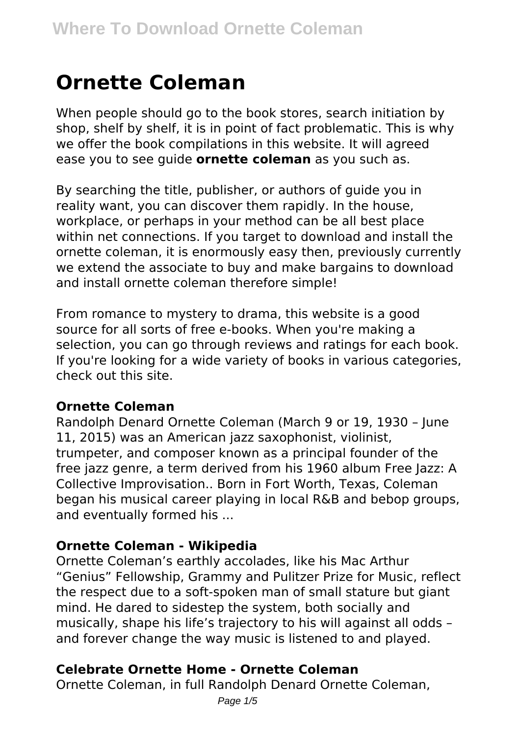# **Ornette Coleman**

When people should go to the book stores, search initiation by shop, shelf by shelf, it is in point of fact problematic. This is why we offer the book compilations in this website. It will agreed ease you to see guide **ornette coleman** as you such as.

By searching the title, publisher, or authors of guide you in reality want, you can discover them rapidly. In the house, workplace, or perhaps in your method can be all best place within net connections. If you target to download and install the ornette coleman, it is enormously easy then, previously currently we extend the associate to buy and make bargains to download and install ornette coleman therefore simple!

From romance to mystery to drama, this website is a good source for all sorts of free e-books. When you're making a selection, you can go through reviews and ratings for each book. If you're looking for a wide variety of books in various categories, check out this site.

## **Ornette Coleman**

Randolph Denard Ornette Coleman (March 9 or 19, 1930 – June 11, 2015) was an American jazz saxophonist, violinist, trumpeter, and composer known as a principal founder of the free jazz genre, a term derived from his 1960 album Free Jazz: A Collective Improvisation.. Born in Fort Worth, Texas, Coleman began his musical career playing in local R&B and bebop groups, and eventually formed his ...

#### **Ornette Coleman - Wikipedia**

Ornette Coleman's earthly accolades, like his Mac Arthur "Genius" Fellowship, Grammy and Pulitzer Prize for Music, reflect the respect due to a soft-spoken man of small stature but giant mind. He dared to sidestep the system, both socially and musically, shape his life's trajectory to his will against all odds – and forever change the way music is listened to and played.

## **Celebrate Ornette Home - Ornette Coleman**

Ornette Coleman, in full Randolph Denard Ornette Coleman,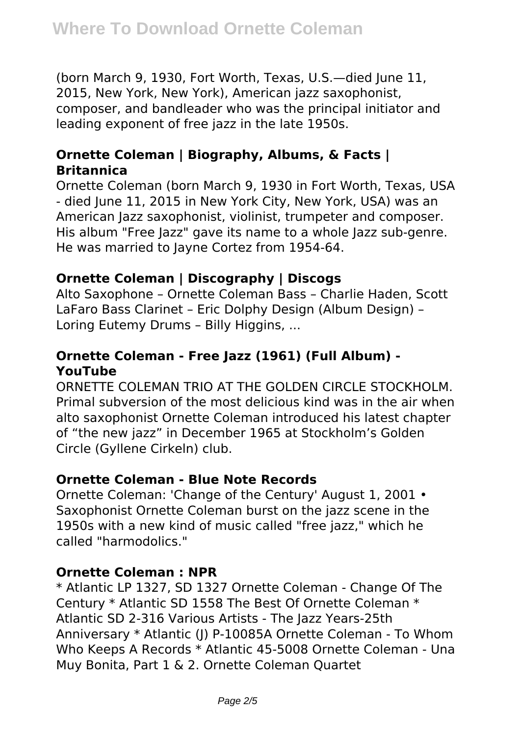(born March 9, 1930, Fort Worth, Texas, U.S.—died June 11, 2015, New York, New York), American jazz saxophonist, composer, and bandleader who was the principal initiator and leading exponent of free jazz in the late 1950s.

# **Ornette Coleman | Biography, Albums, & Facts | Britannica**

Ornette Coleman (born March 9, 1930 in Fort Worth, Texas, USA - died June 11, 2015 in New York City, New York, USA) was an American Jazz saxophonist, violinist, trumpeter and composer. His album "Free Jazz" gave its name to a whole Jazz sub-genre. He was married to Jayne Cortez from 1954-64.

# **Ornette Coleman | Discography | Discogs**

Alto Saxophone – Ornette Coleman Bass – Charlie Haden, Scott LaFaro Bass Clarinet – Eric Dolphy Design (Album Design) – Loring Eutemy Drums – Billy Higgins, ...

# **Ornette Coleman - Free Jazz (1961) (Full Album) - YouTube**

ORNETTE COLEMAN TRIO AT THE GOLDEN CIRCLE STOCKHOLM. Primal subversion of the most delicious kind was in the air when alto saxophonist Ornette Coleman introduced his latest chapter of "the new jazz" in December 1965 at Stockholm's Golden Circle (Gyllene Cirkeln) club.

## **Ornette Coleman - Blue Note Records**

Ornette Coleman: 'Change of the Century' August 1, 2001 • Saxophonist Ornette Coleman burst on the jazz scene in the 1950s with a new kind of music called "free jazz," which he called "harmodolics."

## **Ornette Coleman : NPR**

\* Atlantic LP 1327, SD 1327 Ornette Coleman - Change Of The Century \* Atlantic SD 1558 The Best Of Ornette Coleman \* Atlantic SD 2-316 Various Artists - The Jazz Years-25th Anniversary \* Atlantic (J) P-10085A Ornette Coleman - To Whom Who Keeps A Records \* Atlantic 45-5008 Ornette Coleman - Una Muy Bonita, Part 1 & 2. Ornette Coleman Quartet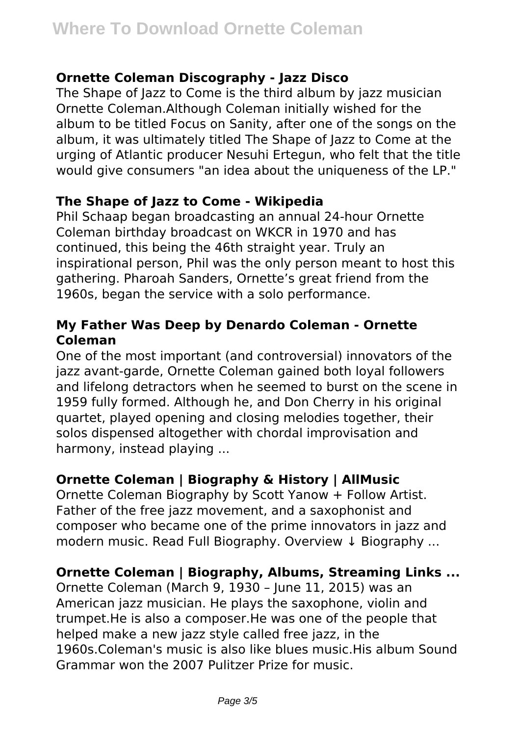#### **Ornette Coleman Discography - Jazz Disco**

The Shape of Jazz to Come is the third album by jazz musician Ornette Coleman.Although Coleman initially wished for the album to be titled Focus on Sanity, after one of the songs on the album, it was ultimately titled The Shape of lazz to Come at the urging of Atlantic producer Nesuhi Ertegun, who felt that the title would give consumers "an idea about the uniqueness of the LP."

## **The Shape of Jazz to Come - Wikipedia**

Phil Schaap began broadcasting an annual 24-hour Ornette Coleman birthday broadcast on WKCR in 1970 and has continued, this being the 46th straight year. Truly an inspirational person, Phil was the only person meant to host this gathering. Pharoah Sanders, Ornette's great friend from the 1960s, began the service with a solo performance.

# **My Father Was Deep by Denardo Coleman - Ornette Coleman**

One of the most important (and controversial) innovators of the jazz avant-garde, Ornette Coleman gained both loyal followers and lifelong detractors when he seemed to burst on the scene in 1959 fully formed. Although he, and Don Cherry in his original quartet, played opening and closing melodies together, their solos dispensed altogether with chordal improvisation and harmony, instead playing ...

# **Ornette Coleman | Biography & History | AllMusic**

Ornette Coleman Biography by Scott Yanow + Follow Artist. Father of the free jazz movement, and a saxophonist and composer who became one of the prime innovators in jazz and modern music. Read Full Biography. Overview ↓ Biography ...

## **Ornette Coleman | Biography, Albums, Streaming Links ...**

Ornette Coleman (March 9, 1930 – June 11, 2015) was an American jazz musician. He plays the saxophone, violin and trumpet.He is also a composer.He was one of the people that helped make a new jazz style called free jazz, in the 1960s.Coleman's music is also like blues music.His album Sound Grammar won the 2007 Pulitzer Prize for music.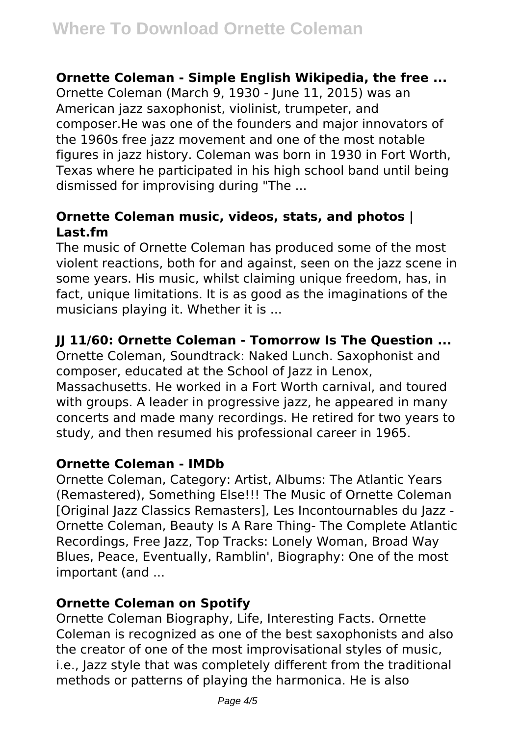#### **Ornette Coleman - Simple English Wikipedia, the free ...**

Ornette Coleman (March 9, 1930 - June 11, 2015) was an American jazz saxophonist, violinist, trumpeter, and composer.He was one of the founders and major innovators of the 1960s free jazz movement and one of the most notable figures in jazz history. Coleman was born in 1930 in Fort Worth, Texas where he participated in his high school band until being dismissed for improvising during "The ...

### **Ornette Coleman music, videos, stats, and photos | Last.fm**

The music of Ornette Coleman has produced some of the most violent reactions, both for and against, seen on the jazz scene in some years. His music, whilst claiming unique freedom, has, in fact, unique limitations. It is as good as the imaginations of the musicians playing it. Whether it is ...

## **JJ 11/60: Ornette Coleman - Tomorrow Is The Question ...**

Ornette Coleman, Soundtrack: Naked Lunch. Saxophonist and composer, educated at the School of Jazz in Lenox, Massachusetts. He worked in a Fort Worth carnival, and toured with groups. A leader in progressive jazz, he appeared in many concerts and made many recordings. He retired for two years to study, and then resumed his professional career in 1965.

## **Ornette Coleman - IMDb**

Ornette Coleman, Category: Artist, Albums: The Atlantic Years (Remastered), Something Else!!! The Music of Ornette Coleman [Original Jazz Classics Remasters], Les Incontournables du Jazz - Ornette Coleman, Beauty Is A Rare Thing- The Complete Atlantic Recordings, Free Jazz, Top Tracks: Lonely Woman, Broad Way Blues, Peace, Eventually, Ramblin', Biography: One of the most important (and ...

## **Ornette Coleman on Spotify**

Ornette Coleman Biography, Life, Interesting Facts. Ornette Coleman is recognized as one of the best saxophonists and also the creator of one of the most improvisational styles of music, i.e., Jazz style that was completely different from the traditional methods or patterns of playing the harmonica. He is also